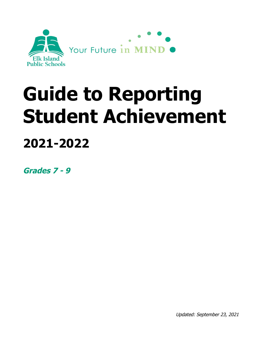

# **Guide to Reporting Student Achievement**

# **2021-2022**

**Grades 7 - 9**

Updated: September 23, 2021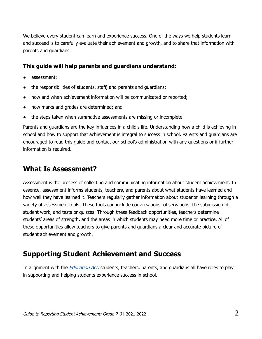We believe every student can learn and experience success. One of the ways we help students learn and succeed is to carefully evaluate their achievement and growth, and to share that information with parents and guardians.

#### **This guide will help parents and guardians understand:**

- assessment;
- the responsibilities of students, staff, and parents and quardians;
- how and when achievement information will be communicated or reported;
- how marks and grades are determined; and
- the steps taken when summative assessments are missing or incomplete.

Parents and guardians are the key influences in a child's life. Understanding how a child is achieving in school and how to support that achievement is integral to success in school. Parents and guardians are encouraged to read this guide and contact our school's administration with any questions or if further information is required.

### **What Is Assessment?**

Assessment is the process of collecting and communicating information about student achievement. In essence, assessment informs students, teachers, and parents about what students have learned and how well they have learned it. Teachers regularly gather information about students' learning through a variety of assessment tools. These tools can include conversations, observations, the submission of student work, and tests or quizzes. Through these feedback opportunities, teachers determine students' areas of strength, and the areas in which students may need more time or practice. All of these opportunities allow teachers to give parents and guardians a clear and accurate picture of student achievement and growth.

## **Supporting Student Achievement and Success**

In alignment with the *[Education](http://www.qp.alberta.ca/documents/Acts/e00p3.pdf) Act*, students, teachers, parents, and guardians all have roles to play in supporting and helping students experience success in school.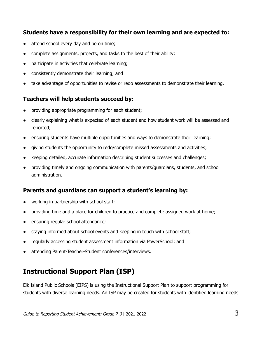#### **Students have a responsibility for their own learning and are expected to:**

- attend school every day and be on time;
- complete assignments, projects, and tasks to the best of their ability;
- participate in activities that celebrate learning;
- consistently demonstrate their learning; and
- take advantage of opportunities to revise or redo assessments to demonstrate their learning.

#### **Teachers will help students succeed by:**

- providing appropriate programming for each student;
- clearly explaining what is expected of each student and how student work will be assessed and reported;
- ensuring students have multiple opportunities and ways to demonstrate their learning;
- giving students the opportunity to redo/complete missed assessments and activities;
- keeping detailed, accurate information describing student successes and challenges;
- providing timely and ongoing communication with parents/guardians, students, and school administration.

#### **Parents and guardians can support a student's learning by:**

- working in partnership with school staff;
- providing time and a place for children to practice and complete assigned work at home;
- ensuring regular school attendance;
- staying informed about school events and keeping in touch with school staff;
- regularly accessing student assessment information via PowerSchool; and
- attending Parent-Teacher-Student conferences/interviews.

# **Instructional Support Plan (ISP)**

Elk Island Public Schools (EIPS) is using the Instructional Support Plan to support programming for students with diverse learning needs. An ISP may be created for students with identified learning needs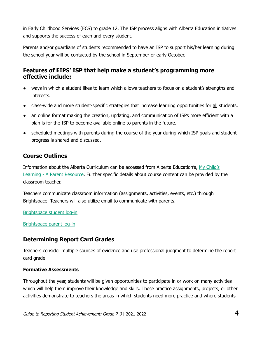in Early Childhood Services (ECS) to grade 12. The ISP process aligns with Alberta Education initiatives and supports the success of each and every student.

Parents and/or guardians of students recommended to have an ISP to support his/her learning during the school year will be contacted by the school in September or early October.

#### **Features of EIPS' ISP that help make a student's programming more effective include:**

- ways in which a student likes to learn which allows teachers to focus on a student's strengths and interests.
- class-wide and more student-specific strategies that increase learning opportunities for all students.
- an online format making the creation, updating, and communication of ISPs more efficient with a plan is for the ISP to become available online to parents in the future.
- scheduled meetings with parents during the course of the year during which ISP goals and student progress is shared and discussed.

#### **Course Outlines**

Information about the Alberta Curriculum can be accessed from Alberta Education's, My [Child's](https://www.learnalberta.ca/content/mychildslearning/) Learning - A Parent [Resource](https://www.learnalberta.ca/content/mychildslearning/). Further specific details about course content can be provided by the classroom teacher.

Teachers communicate classroom information (assignments, activities, events, etc.) through Brightspace. Teachers will also utilize email to communicate with parents.

[Brightspace](https://eips.brightspace.com/) student log-in

[Brightspace](https://eips.brightspace.com/d2l/local) parent log-in

#### **Determining Report Card Grades**

Teachers consider multiple sources of evidence and use professional judgment to determine the report card grade.

#### **Formative Assessments**

Throughout the year, students will be given opportunities to participate in or work on many activities which will help them improve their knowledge and skills. These practice assignments, projects, or other activities demonstrate to teachers the areas in which students need more practice and where students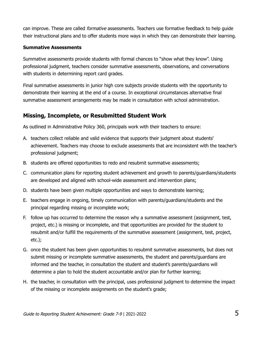can improve. These are called *formative* assessments. Teachers use formative feedback to help quide their instructional plans and to offer students more ways in which they can demonstrate their learning.

#### **Summative Assessments**

Summative assessments provide students with formal chances to "show what they know". Using professional judgment, teachers consider summative assessments, observations, and conversations with students in determining report card grades.

Final summative assessments in junior high core subjects provide students with the opportunity to demonstrate their learning at the end of a course. In exceptional circumstances alternative final summative assessment arrangements may be made in consultation with school administration.

#### **Missing, Incomplete, or Resubmitted Student Work**

As outlined in Administrative Policy 360, principals work with their teachers to ensure:

- A. teachers collect reliable and valid evidence that supports their judgment about students' achievement. Teachers may choose to exclude assessments that are inconsistent with the teacher's professional judgment;
- B. students are offered opportunities to redo and resubmit summative assessments;
- C. communication plans for reporting student achievement and growth to parents/guardians/students are developed and aligned with school-wide assessment and intervention plans;
- D. students have been given multiple opportunities and ways to demonstrate learning;
- E. teachers engage in ongoing, timely communication with parents/guardians/students and the principal regarding missing or incomplete work;
- F. follow up has occurred to determine the reason why a summative assessment (assignment, test, project, etc.) is missing or incomplete, and that opportunities are provided for the student to resubmit and/or fulfill the requirements of the summative assessment (assignment, test, project, etc.);
- G. once the student has been given opportunities to resubmit summative assessments, but does not submit missing or incomplete summative assessments, the student and parents/guardians are informed and the teacher, in consultation the student and student's parents/guardians will determine a plan to hold the student accountable and/or plan for further learning;
- H. the teacher, in consultation with the principal, uses professional judgment to determine the impact of the missing or incomplete assignments on the student's grade;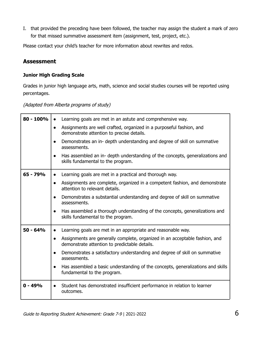I. that provided the preceding have been followed, the teacher may assign the student a mark of zero for that missed summative assessment item (assignment, test, project, etc.).

Please contact your child's teacher for more information about rewrites and redos.

#### **Assessment**

#### **Junior High Grading Scale**

Grades in junior high language arts, math, science and social studies courses will be reported using percentages.

(Adapted from Alberta programs of study)

| $80 - 100%$ | Learning goals are met in an astute and comprehensive way.<br>$\bullet$                                                                   |
|-------------|-------------------------------------------------------------------------------------------------------------------------------------------|
|             | Assignments are well crafted, organized in a purposeful fashion, and<br>$\bullet$<br>demonstrate attention to precise details.            |
|             | Demonstrates an in- depth understanding and degree of skill on summative<br>$\bullet$<br>assessments.                                     |
|             | Has assembled an in- depth understanding of the concepts, generalizations and<br>$\bullet$<br>skills fundamental to the program.          |
| 65 - 79%    | Learning goals are met in a practical and thorough way.<br>$\bullet$                                                                      |
|             | Assignments are complete, organized in a competent fashion, and demonstrate<br>$\bullet$<br>attention to relevant details.                |
|             | Demonstrates a substantial understanding and degree of skill on summative<br>assessments.                                                 |
|             | Has assembled a thorough understanding of the concepts, generalizations and<br>$\bullet$<br>skills fundamental to the program.            |
| $50 - 64%$  | Learning goals are met in an appropriate and reasonable way.<br>$\bullet$                                                                 |
|             | Assignments are generally complete, organized in an acceptable fashion, and<br>$\bullet$<br>demonstrate attention to predictable details. |
|             | Demonstrates a satisfactory understanding and degree of skill on summative<br>$\bullet$<br>assessments.                                   |
|             | Has assembled a basic understanding of the concepts, generalizations and skills<br>$\bullet$<br>fundamental to the program.               |
| $0 - 49%$   | Student has demonstrated insufficient performance in relation to learner<br>outcomes.                                                     |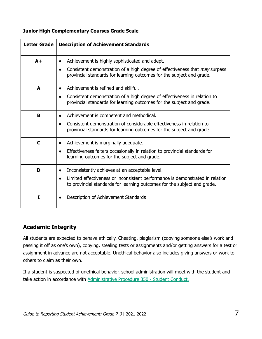|  |  |  |  |  | <b>Junior High Complementary Courses Grade Scale</b> |  |  |
|--|--|--|--|--|------------------------------------------------------|--|--|
|--|--|--|--|--|------------------------------------------------------|--|--|

| <b>Letter Grade</b> | <b>Description of Achievement Standards</b>                                                                                                                                                                                             |
|---------------------|-----------------------------------------------------------------------------------------------------------------------------------------------------------------------------------------------------------------------------------------|
| $A +$               | Achievement is highly sophisticated and adept.<br>$\bullet$<br>Consistent demonstration of a high degree of effectiveness that <i>may</i> surpass<br>$\bullet$<br>provincial standards for learning outcomes for the subject and grade. |
| A                   | Achievement is refined and skillful.<br>Consistent demonstration of a high degree of effectiveness in relation to<br>provincial standards for learning outcomes for the subject and grade.                                              |
| B                   | Achievement is competent and methodical.<br>$\bullet$<br>Consistent demonstration of considerable effectiveness in relation to<br>provincial standards for learning outcomes for the subject and grade.                                 |
| $\mathbf C$         | Achievement is marginally adequate.<br>$\bullet$<br>Effectiveness falters occasionally in relation to provincial standards for<br>learning outcomes for the subject and grade.                                                          |
| D                   | Inconsistently achieves at an acceptable level.<br>$\bullet$<br>Limited effectiveness or inconsistent performance is demonstrated in relation<br>$\bullet$<br>to provincial standards for learning outcomes for the subject and grade.  |
| Т                   | Description of Achievement Standards                                                                                                                                                                                                    |

#### **Academic Integrity**

All students are expected to behave ethically. Cheating, plagiarism (copying someone else's work and passing it off as one's own), copying, stealing tests or assignments and/or getting answers for a test or assignment in advance are not acceptable. Unethical behavior also includes giving answers or work to others to claim as their own.

If a student is suspected of unethical behavior, school administration will meet with the student and take action in accordance with [Administrative](https://www.eips.ca/about-us/administrative-procedures/350) Procedure 350 - Student Conduct.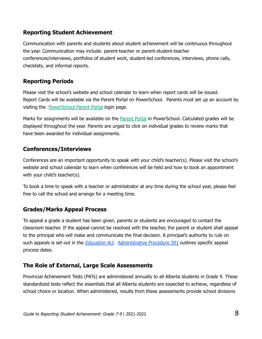#### **Reporting Student Achievement**

Communication with parents and students about student achievement will be continuous throughout the year. Communication may include: parent-teacher or parent-student-teacher conferences/interviews, portfolios of student work, student-led conferences, interviews, phone calls, checklists, and informal reports.

#### **Reporting Periods**

Please visit the school's website and school calendar to learn when report cards will be issued. Report Cards will be available via the Parent Portal on PowerSchool. Parents must set up an account by visiting the [PowerSchool](http://www.eips.ca/schools/powerschool) Parent Portal login page.

Marks for assignments will be available on the **[Parent](https://powerschool.eips.ca/public/home.html) Portal** in PowerSchool. Calculated grades will be displayed throughout the year. Parents are urged to click on individual grades to review marks that have been awarded for individual assignments.

#### **Conferences/Interviews**

Conferences are an important opportunity to speak with your child's teacher(s). Please visit the school's website and school calendar to learn when conferences will be held and how to book an appointment with your child's teacher(s).

To book a time to speak with a teacher or administrator at any time during the school year, please feel free to call the school and arrange for a meeting time.

#### **Grades/Marks Appeal Process**

To appeal a grade a student has been given, parents or students are encouraged to contact the classroom teacher. If the appeal cannot be resolved with the teacher, the parent or student shall appeal to the principal who will make and communicate the final decision. A principal's authority to rule on such appeals is set out in the *[Education](http://www.qp.alberta.ca/documents/Acts/e00p3.pdf) Act.* [Administrative](https://www.eips.ca/about-us/administrative-procedures/391) Procedure 391 outlines specific appeal process dates.

#### **The Role of External, Large Scale Assessments**

Provincial Achievement Tests (PATs) are administered annually to all Alberta students in Grade 9. These standardized tests reflect the essentials that all Alberta students are expected to achieve, regardless of school choice or location. When administered, results from these assessments provide school divisions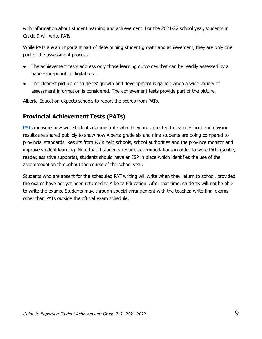with information about student learning and achievement. For the 2021-22 school year, students in Grade 9 will write PATs.

While PATs are an important part of determining student growth and achievement, they are only one part of the assessment process.

- The achievement tests address only those learning outcomes that can be readily assessed by a paper-and-pencil or digital test.
- The clearest picture of students' growth and development is gained when a wide variety of assessment information is considered. The achievement tests provide part of the picture.

Alberta Education expects schools to report the scores from PATs.

#### **Provincial Achievement Tests (PATs)**

[PATs](https://www.alberta.ca/provincial-achievement-tests.aspx#toc-0) measure how well students demonstrate what they are expected to learn. School and division results are shared publicly to show how Alberta grade six and nine students are doing compared to provincial standards. Results from PATs help schools, school authorities and the province monitor and improve student learning. Note that if students require accommodations in order to write PATs (scribe, reader, assistive supports), students should have an ISP in place which identifies the use of the accommodation throughout the course of the school year.

Students who are absent for the scheduled PAT writing will write when they return to school, provided the exams have not yet been returned to Alberta Education. After that time, students will not be able to write the exams. Students may, through special arrangement with the teacher, write final exams other than PATs outside the official exam schedule.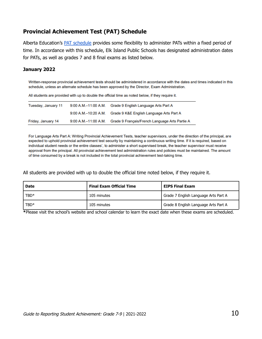#### **Provincial Achievement Test (PAT) Schedule**

Alberta Education's PAT [schedule](https://www.alberta.ca/assets/documents/ed-pat-administration-schedules.pdf) provides some flexibility to administer PATs within a fixed period of time. In accordance with this schedule, Elk Island Public Schools has designated administration dates for PATs, as well as grades 7 and 8 final exams as listed below.

#### **January 2022**

Written-response provincial achievement tests should be administered in accordance with the dates and times indicated in this schedule, unless an alternate schedule has been approved by the Director, Exam Administration.

All students are provided with up to double the official time as noted below, if they require it.

| Tuesday, January 11 | 9:00 A.M.-11:00 A.M. | Grade 9 English Language Arts Part A           |
|---------------------|----------------------|------------------------------------------------|
|                     | 9:00 A.M.-10:20 A.M. | Grade 9 K&E English Language Arts Part A       |
| Friday, January 14  | 9:00 A.M.-11:00 A.M. | Grade 9 Français/French Language Arts Partie A |

For Language Arts Part A: Writing Provincial Achievement Tests, teacher supervisors, under the direction of the principal, are expected to uphold provincial achievement test security by maintaining a continuous writing time. If it is required, based on individual student needs or the entire classes', to administer a short supervised break, the teacher supervisor must receive approval from the principal. All provincial achievement test administration rules and policies must be maintained. The amount of time consumed by a break is not included in the total provincial achievement test-taking time.

All students are provided with up to double the official time noted below, if they require it.

| <b>Date</b> | <b>Final Exam Official Time</b> | <b>EIPS Final Exam</b>               |
|-------------|---------------------------------|--------------------------------------|
| TBD*        | 105 minutes                     | Grade 7 English Language Arts Part A |
| TBD*        | 105 minutes                     | Grade 8 English Language Arts Part A |

**\***Please visit the school's website and school calendar to learn the exact date when these exams are scheduled.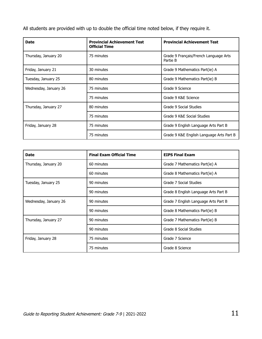All students are provided with up to double the official time noted below, if they require it.

| <b>Date</b>           | <b>Provincial Achievement Test</b><br><b>Official Time</b> | <b>Provincial Achievement Test</b>                |
|-----------------------|------------------------------------------------------------|---------------------------------------------------|
| Thursday, January 20  | 75 minutes                                                 | Grade 9 Français/French Language Arts<br>Partie B |
| Friday, January 21    | 30 minutes                                                 | Grade 9 Mathematics Part(ie) A                    |
| Tuesday, January 25   | 80 minutes                                                 | Grade 9 Mathematics Part(ie) B                    |
| Wednesday, January 26 | 75 minutes                                                 | Grade 9 Science                                   |
|                       | 75 minutes                                                 | Grade 9 K&E Science                               |
| Thursday, January 27  | 80 minutes                                                 | Grade 9 Social Studies                            |
|                       | 75 minutes                                                 | Grade 9 K&E Social Studies                        |
| Friday, January 28    | 75 minutes                                                 | Grade 9 English Language Arts Part B              |
|                       | 75 minutes                                                 | Grade 9 K&E English Language Arts Part B          |

| <b>Date</b>           | <b>Final Exam Official Time</b> | <b>EIPS Final Exam</b>               |
|-----------------------|---------------------------------|--------------------------------------|
| Thursday, January 20  | 60 minutes                      | Grade 7 Mathematics Part(ie) A       |
|                       | 60 minutes                      | Grade 8 Mathematics Part(ie) A       |
| Tuesday, January 25   | 90 minutes                      | Grade 7 Social Studies               |
|                       | 90 minutes                      | Grade 8 English Language Arts Part B |
| Wednesday, January 26 | 90 minutes                      | Grade 7 English Language Arts Part B |
|                       | 90 minutes                      | Grade 8 Mathematics Part(ie) B       |
| Thursday, January 27  | 90 minutes                      | Grade 7 Mathematics Part(ie) B       |
|                       | 90 minutes                      | Grade 8 Social Studies               |
| Friday, January 28    | 75 minutes                      | Grade 7 Science                      |
|                       | 75 minutes                      | Grade 8 Science                      |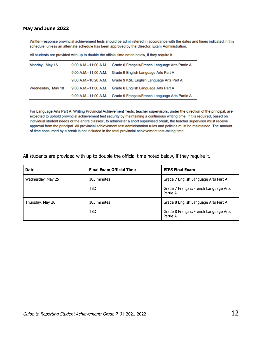#### **May and June 2022**

Written-response provincial achievement tests should be administered in accordance with the dates and times indicated in this schedule, unless an alternate schedule has been approved by the Director, Exam Administration.

All students are provided with up to double the official time noted below, if they require it.

| Monday, May 16    | 9:00 A.M.-11:00 A.M.      | Grade 6 Français/French Language Arts Partie A |
|-------------------|---------------------------|------------------------------------------------|
|                   | $9:00$ A.M. $-11:00$ A.M. | Grade 9 English Language Arts Part A           |
|                   | 9:00 A.M.-10:20 A.M.      | Grade 9 K&E English Language Arts Part A       |
| Wednesday, May 18 | 9:00 A.M.-11:00 A.M.      | Grade 6 English Language Arts Part A           |
|                   | 9:00 A.M.-11:00 A.M.      | Grade 9 Français/French Language Arts Partie A |

For Language Arts Part A: Writing Provincial Achievement Tests, teacher supervisors, under the direction of the principal, are expected to uphold provincial achievement test security by maintaining a continuous writing time. If it is required, based on individual student needs or the entire classes', to administer a short supervised break, the teacher supervisor must receive approval from the principal. All provincial achievement test administration rules and policies must be maintained. The amount of time consumed by a break is not included in the total provincial achievement test-taking time.

| <b>Date</b>       | <b>Final Exam Official Time</b> | <b>EIPS Final Exam</b>                            |
|-------------------|---------------------------------|---------------------------------------------------|
| Wednesday, May 25 | 105 minutes                     | Grade 7 English Language Arts Part A              |
|                   | <b>TBD</b>                      | Grade 7 Français/French Language Arts<br>Partie A |
| Thursday, May 26  | 105 minutes                     | Grade 8 English Language Arts Part A              |
|                   | <b>TBD</b>                      | Grade 8 Français/French Language Arts<br>Partie A |

All students are provided with up to double the official time noted below, if they require it.